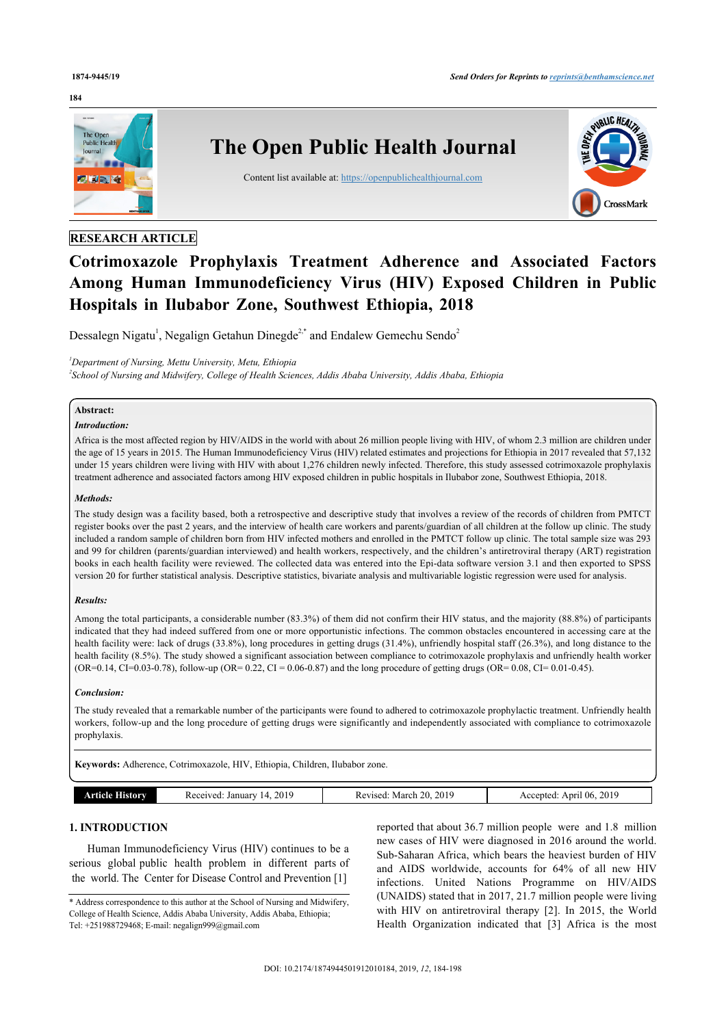#### **184**



# **RESEARCH ARTICLE**

# **Cotrimoxazole Prophylaxis Treatment Adherence and Associated Factors Among Human Immunodeficiency Virus (HIV) Exposed Children in Public Hospitals in Ilubabor Zone, Southwest Ethiopia, 2018**

Dessalegn Nigatu<sup>[1](#page-0-0)</sup>, Negalign Getahun Dinegde<sup>[2](#page-0-0),[\\*](#page-0-1)</sup> and Endalew Gemechu Sendo<sup>2</sup>

<span id="page-0-0"></span>*<sup>1</sup>Department of Nursing, Mettu University, Metu, Ethiopia*

*2 School of Nursing and Midwifery, College of Health Sciences, Addis Ababa University, Addis Ababa, Ethiopia*

# **Abstract:**

# *Introduction:*

Africa is the most affected region by HIV/AIDS in the world with about 26 million people living with HIV, of whom 2.3 million are children under the age of 15 years in 2015. The Human Immunodeficiency Virus (HIV) related estimates and projections for Ethiopia in 2017 revealed that 57,132 under 15 years children were living with HIV with about 1,276 children newly infected. Therefore, this study assessed cotrimoxazole prophylaxis treatment adherence and associated factors among HIV exposed children in public hospitals in Ilubabor zone, Southwest Ethiopia, 2018.

#### *Methods:*

The study design was a facility based, both a retrospective and descriptive study that involves a review of the records of children from PMTCT register books over the past 2 years, and the interview of health care workers and parents/guardian of all children at the follow up clinic. The study included a random sample of children born from HIV infected mothers and enrolled in the PMTCT follow up clinic. The total sample size was 293 and 99 for children (parents/guardian interviewed) and health workers, respectively, and the children's antiretroviral therapy (ART) registration books in each health facility were reviewed. The collected data was entered into the Epi-data software version 3.1 and then exported to SPSS version 20 for further statistical analysis. Descriptive statistics, bivariate analysis and multivariable logistic regression were used for analysis.

#### *Results:*

Among the total participants, a considerable number (83.3%) of them did not confirm their HIV status, and the majority (88.8%) of participants indicated that they had indeed suffered from one or more opportunistic infections. The common obstacles encountered in accessing care at the health facility were: lack of drugs (33.8%), long procedures in getting drugs (31.4%), unfriendly hospital staff (26.3%), and long distance to the health facility (8.5%). The study showed a significant association between compliance to cotrimoxazole prophylaxis and unfriendly health worker (OR=0.14, CI=0.03-0.78), follow-up (OR= 0.22, CI = 0.06-0.87) and the long procedure of getting drugs (OR= 0.08, CI= 0.01-0.45).

#### *Conclusion:*

The study revealed that a remarkable number of the participants were found to adhered to cotrimoxazole prophylactic treatment. Unfriendly health workers, follow-up and the long procedure of getting drugs were significantly and independently associated with compliance to cotrimoxazole prophylaxis.

**Keywords:** Adherence, Cotrimoxazole, HIV, Ethiopia, Children, Ilubabor zone.

| .miv | 2019<br>211700<br>January<br>. .<br>55 G C<br>--- | 201 <sup>c</sup><br>"<br>. March<br>ATITC<br>л,<br>$\sim$<br>. | 2019<br>-06<br>Anril<br>птел<br>ACC<br>$\sim$ |
|------|---------------------------------------------------|----------------------------------------------------------------|-----------------------------------------------|

#### **1. INTRODUCTION**

Human Immunodeficiency Virus (HIV) continues to be a serious global public health problem in different parts of the world. The Center for Disease Control and Prevention [[1](#page-5-0)]

reported that about 36.7 million people were and 1.8 million new cases of HIV were diagnosed in 2016 around the world. Sub-Saharan Africa, which bears the heaviest burden of HIV and AIDS worldwide, accounts for 64% of all new HIV infections. United Nations Programme on HIV/AIDS (UNAIDS) stated that in 2017, 21.7 million people were living with HIV on antiretroviral therapy[[2](#page-5-1)]. In 2015, the World Health Organization indicated that [\[3\]](#page-5-2) Africa is the most

<span id="page-0-1"></span><sup>\*</sup> Address correspondence to this author at the School of Nursing and Midwifery, College of Health Science, Addis Ababa University, Addis Ababa, Ethiopia; Tel: +251988729468; E-mail: [negalign999@gmail.com](mailto:negalign999@gmail.com)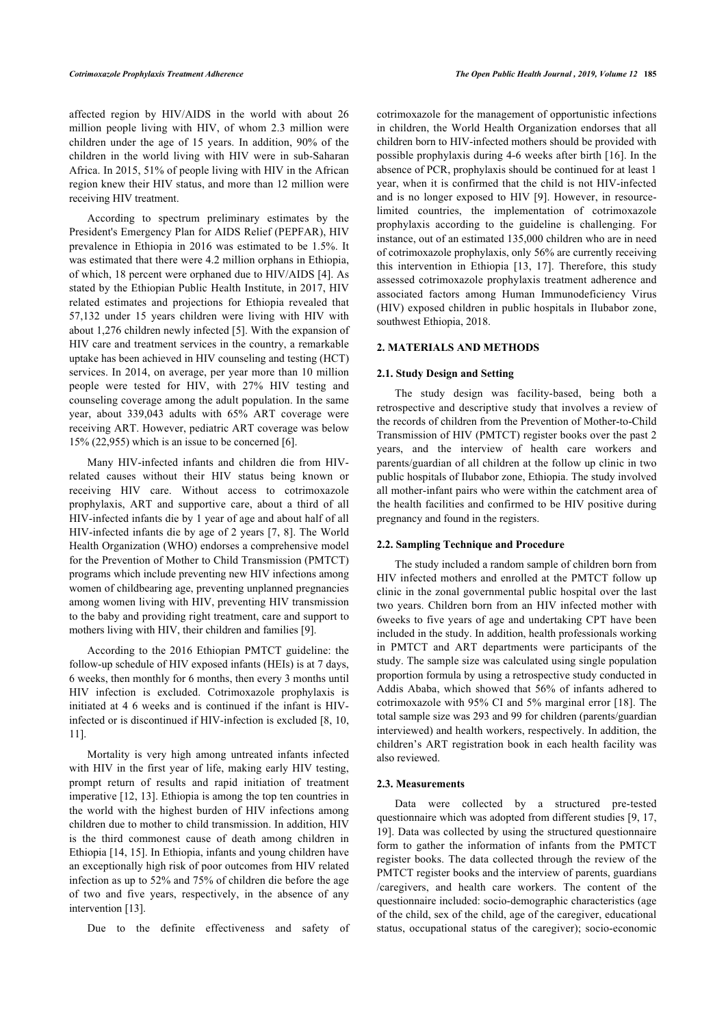affected region by HIV/AIDS in the world with about 26 million people living with HIV, of whom 2.3 million were children under the age of 15 years. In addition, 90% of the children in the world living with HIV were in sub-Saharan Africa. In 2015, 51% of people living with HIV in the African region knew their HIV status, and more than 12 million were receiving HIV treatment.

According to spectrum preliminary estimates by the President's Emergency Plan for AIDS Relief (PEPFAR), HIV prevalence in Ethiopia in 2016 was estimated to be 1.5%. It was estimated that there were 4.2 million orphans in Ethiopia, of which, 18 percent were orphaned due to HIV/AIDS [[4](#page-5-3)]. As stated by the Ethiopian Public Health Institute, in 2017, HIV related estimates and projections for Ethiopia revealed that 57,132 under 15 years children were living with HIV with about 1,276 children newly infected [\[5\]](#page-5-4). With the expansion of HIV care and treatment services in the country, a remarkable uptake has been achieved in HIV counseling and testing (HCT) services. In 2014, on average, per year more than 10 million people were tested for HIV, with 27% HIV testing and counseling coverage among the adult population. In the same year, about 339,043 adults with 65% ART coverage were receiving ART. However, pediatric ART coverage was below 15% (22,955) which is an issue to be concerned [\[6\]](#page-5-5).

Many HIV-infected infants and children die from HIVrelated causes without their HIV status being known or receiving HIV care. Without access to cotrimoxazole prophylaxis, ART and supportive care, about a third of all HIV-infected infants die by 1 year of age and about half of all HIV-infected infants die by age of 2 years [[7](#page-5-6), [8](#page-5-7)]. The World Health Organization (WHO) endorses a comprehensive model for the Prevention of Mother to Child Transmission (PMTCT) programs which include preventing new HIV infections among women of childbearing age, preventing unplanned pregnancies among women living with HIV, preventing HIV transmission to the baby and providing right treatment, care and support to mothers living with HIV, their children and families [[9](#page-5-8)].

According to the 2016 Ethiopian PMTCT guideline: the follow-up schedule of HIV exposed infants (HEIs) is at 7 days, 6 weeks, then monthly for 6 months, then every 3 months until HIV infection is excluded. Cotrimoxazole prophylaxis is initiated at 4 6 weeks and is continued if the infant is HIVinfected or is discontinued if HIV-infection is excluded [[8](#page-5-7), [10](#page-5-9), [11\]](#page-5-10).

Mortality is very high among untreated infants infected with HIV in the first year of life, making early HIV testing, prompt return of results and rapid initiation of treatment imperative [\[12,](#page-5-11) [13](#page-5-12)]. Ethiopia is among the top ten countries in the world with the highest burden of HIV infections among children due to mother to child transmission. In addition, HIV is the third commonest cause of death among children in Ethiopia [[14](#page-5-13), [15\]](#page-5-14). In Ethiopia, infants and young children have an exceptionally high risk of poor outcomes from HIV related infection as up to 52% and 75% of children die before the age of two and five years, respectively, in the absence of any intervention [\[13](#page-5-12)].

Due to the definite effectiveness and safety of

cotrimoxazole for the management of opportunistic infections in children, the World Health Organization endorses that all children born to HIV-infected mothers should be provided with possible prophylaxis during 4-6 weeks after birth [\[16\]](#page-5-15). In the absence of PCR, prophylaxis should be continued for at least 1 year, when it is confirmed that the child is not HIV-infected and is no longer exposed to HIV [\[9\]](#page-5-8). However, in resourcelimited countries, the implementation of cotrimoxazole prophylaxis according to the guideline is challenging. For instance, out of an estimated 135,000 children who are in need of cotrimoxazole prophylaxis, only 56% are currently receiving this intervention in Ethiopia[[13,](#page-5-12) [17](#page-5-16)]. Therefore, this study assessed cotrimoxazole prophylaxis treatment adherence and associated factors among Human Immunodeficiency Virus (HIV) exposed children in public hospitals in Ilubabor zone, southwest Ethiopia, 2018.

#### **2. MATERIALS AND METHODS**

#### **2.1. Study Design and Setting**

The study design was facility-based, being both a retrospective and descriptive study that involves a review of the records of children from the Prevention of Mother-to-Child Transmission of HIV (PMTCT) register books over the past 2 years, and the interview of health care workers and parents/guardian of all children at the follow up clinic in two public hospitals of Ilubabor zone, Ethiopia. The study involved all mother-infant pairs who were within the catchment area of the health facilities and confirmed to be HIV positive during pregnancy and found in the registers.

#### **2.2. Sampling Technique and Procedure**

The study included a random sample of children born from HIV infected mothers and enrolled at the PMTCT follow up clinic in the zonal governmental public hospital over the last two years. Children born from an HIV infected mother with 6weeks to five years of age and undertaking CPT have been included in the study. In addition, health professionals working in PMTCT and ART departments were participants of the study. The sample size was calculated using single population proportion formula by using a retrospective study conducted in Addis Ababa, which showed that 56% of infants adhered to cotrimoxazole with 95% CI and 5% marginal error [[18](#page-5-17)]. The total sample size was 293 and 99 for children (parents/guardian interviewed) and health workers, respectively. In addition, the children's ART registration book in each health facility was also reviewed.

#### **2.3. Measurements**

Data were collected by a structured pre-tested questionnaire which was adopted from different studies [[9](#page-5-8), [17](#page-5-16), [19](#page-5-18)]. Data was collected by using the structured questionnaire form to gather the information of infants from the PMTCT register books. The data collected through the review of the PMTCT register books and the interview of parents, guardians /caregivers, and health care workers. The content of the questionnaire included: socio-demographic characteristics (age of the child, sex of the child, age of the caregiver, educational status, occupational status of the caregiver); socio-economic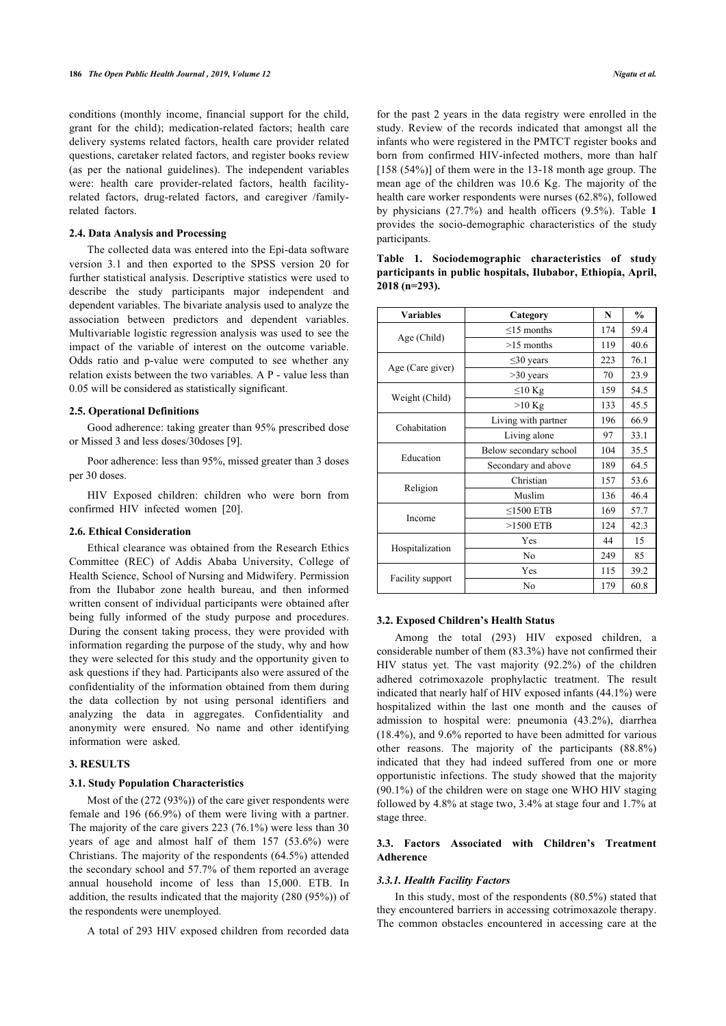conditions (monthly income, financial support for the child, grant for the child); medication-related factors; health care delivery systems related factors, health care provider related questions, caretaker related factors, and register books review (as per the national guidelines). The independent variables were: health care provider-related factors, health facilityrelated factors, drug-related factors, and caregiver /familyrelated factors.

#### **2.4. Data Analysis and Processing**

<span id="page-2-0"></span>The collected data was entered into the Epi-data software version 3.1 and then exported to the SPSS version 20 for further statistical analysis. Descriptive statistics were used to describe the study participants major independent and dependent variables. The bivariate analysis used to analyze the association between predictors and dependent variables. Multivariable logistic regression analysis was used to see the impact of the variable of interest on the outcome variable. Odds ratio and p-value were computed to see whether any relation exists between the two variables. A P - value less than 0.05 will be considered as statistically significant.

#### **2.5. Operational Definitions**

Good adherence: taking greater than 95% prescribed dose or Missed 3 and less doses/30doses [\[9\]](#page-5-8).

Poor adherence: less than 95%, missed greater than 3 doses per 30 doses.

HIV Exposed children: children who were born from confirmed HIV infected women [\[20](#page-5-19)].

#### **2.6. Ethical Consideration**

Ethical clearance was obtained from the Research Ethics Committee (REC) of Addis Ababa University, College of Health Science, School of Nursing and Midwifery. Permission from the Ilubabor zone health bureau, and then informed written consent of individual participants were obtained after being fully informed of the study purpose and procedures. During the consent taking process, they were provided with information regarding the purpose of the study, why and how they were selected for this study and the opportunity given to ask questions if they had. Participants also were assured of the confidentiality of the information obtained from them during the data collection by not using personal identifiers and analyzing the data in aggregates. Confidentiality and anonymity were ensured. No name and other identifying information were asked.

#### **3. RESULTS**

#### **3.1. Study Population Characteristics**

Most of the (272 (93%)) of the care giver respondents were female and 196 (66.9%) of them were living with a partner. The majority of the care givers 223 (76.1%) were less than 30 years of age and almost half of them 157 (53.6%) were Christians. The majority of the respondents (64.5%) attended the secondary school and 57.7% of them reported an average annual household income of less than 15,000. ETB. In addition, the results indicated that the majority (280 (95%)) of the respondents were unemployed.

A total of 293 HIV exposed children from recorded data

for the past 2 years in the data registry were enrolled in the study. Review of the records indicated that amongst all the infants who were registered in the PMTCT register books and born from confirmed HIV-infected mothers, more than half [158 (54%)] of them were in the 13-18 month age group. The mean age of the children was 10.6 Kg. The majority of the health care worker respondents were nurses (62.8%), followed by physicians (27.7%) and health officers (9.5%). Table**1** provides the socio-demographic characteristics of the study participants.

| <b>Variables</b> | Category               | N   | $\%$ |
|------------------|------------------------|-----|------|
|                  | $\leq$ 15 months       | 174 | 59.4 |
| Age (Child)      | $>15$ months           | 119 | 40.6 |
|                  | $\leq$ 30 years        | 223 | 76.1 |
| Age (Care giver) | $>30$ years            | 70  | 23.9 |
|                  | $\leq 10$ Kg           | 159 | 54.5 |
| Weight (Child)   | $>10$ Kg               | 133 | 45.5 |
|                  | Living with partner    | 196 | 66.9 |
| Cohabitation     | Living alone           | 97  | 33.1 |
|                  | Below secondary school | 104 | 35.5 |
| Education        | Secondary and above    | 189 | 64.5 |
|                  | Christian              | 157 | 53.6 |
| Religion         | Muslim                 | 136 | 46.4 |
| Income           | $\leq$ 1500 ETB        | 169 | 57.7 |
|                  | $>1500$ ETB            | 124 | 42.3 |
|                  | Yes                    | 44  | 15   |
| Hospitalization  | N <sub>0</sub>         | 249 | 85   |
|                  | Yes                    | 115 | 39.2 |
| Facility support | No                     | 179 | 60.8 |

# **Table 1. Sociodemographic characteristics of study participants in public hospitals, Ilubabor, Ethiopia, April, 2018 (n=293).**

#### **3.2. Exposed Children's Health Status**

Among the total (293) HIV exposed children, a considerable number of them (83.3%) have not confirmed their HIV status yet. The vast majority (92.2%) of the children adhered cotrimoxazole prophylactic treatment. The result indicated that nearly half of HIV exposed infants (44.1%) were hospitalized within the last one month and the causes of admission to hospital were: pneumonia (43.2%), diarrhea (18.4%), and 9.6% reported to have been admitted for various other reasons. The majority of the participants (88.8%) indicated that they had indeed suffered from one or more opportunistic infections. The study showed that the majority (90.1%) of the children were on stage one WHO HIV staging followed by 4.8% at stage two, 3.4% at stage four and 1.7% at stage three.

#### **3.3. Factors Associated with Children's Treatment Adherence**

#### *3.3.1. Health Facility Factors*

In this study, most of the respondents (80.5%) stated that they encountered barriers in accessing cotrimoxazole therapy. The common obstacles encountered in accessing care at the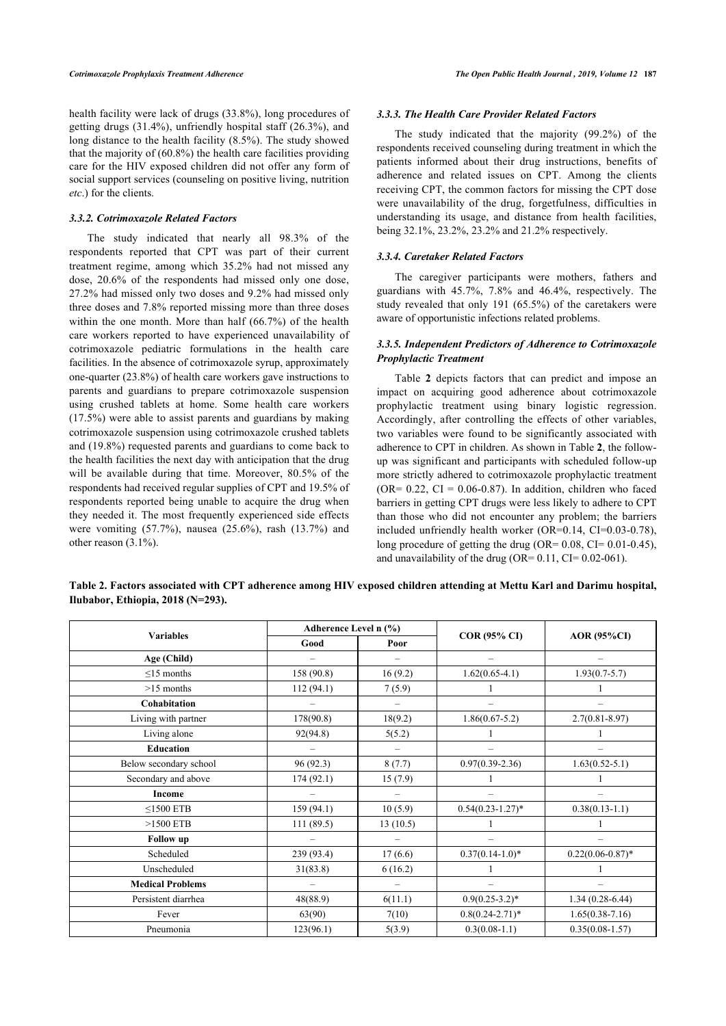health facility were lack of drugs (33.8%), long procedures of getting drugs (31.4%), unfriendly hospital staff (26.3%), and long distance to the health facility (8.5%). The study showed that the majority of (60.8%) the health care facilities providing care for the HIV exposed children did not offer any form of social support services (counseling on positive living, nutrition *etc*.) for the clients.

#### *3.3.2. Cotrimoxazole Related Factors*

The study indicated that nearly all 98.3% of the respondents reported that CPT was part of their current treatment regime, among which 35.2% had not missed any dose, 20.6% of the respondents had missed only one dose, 27.2% had missed only two doses and 9.2% had missed only three doses and 7.8% reported missing more than three doses within the one month. More than half (66.7%) of the health care workers reported to have experienced unavailability of cotrimoxazole pediatric formulations in the health care facilities. In the absence of cotrimoxazole syrup, approximately one-quarter (23.8%) of health care workers gave instructions to parents and guardians to prepare cotrimoxazole suspension using crushed tablets at home. Some health care workers (17.5%) were able to assist parents and guardians by making cotrimoxazole suspension using cotrimoxazole crushed tablets and (19.8%) requested parents and guardians to come back to the health facilities the next day with anticipation that the drug will be available during that time. Moreover, 80.5% of the respondents had received regular supplies of CPT and 19.5% of respondents reported being unable to acquire the drug when they needed it. The most frequently experienced side effects were vomiting (57.7%), nausea (25.6%), rash (13.7%) and other reason (3.1%).

#### *3.3.3. The Health Care Provider Related Factors*

The study indicated that the majority (99.2%) of the respondents received counseling during treatment in which the patients informed about their drug instructions, benefits of adherence and related issues on CPT. Among the clients receiving CPT, the common factors for missing the CPT dose were unavailability of the drug, forgetfulness, difficulties in understanding its usage, and distance from health facilities, being 32.1%, 23.2%, 23.2% and 21.2% respectively.

#### *3.3.4. Caretaker Related Factors*

The caregiver participants were mothers, fathers and guardians with 45.7%, 7.8% and 46.4%, respectively. The study revealed that only 191 (65.5%) of the caretakers were aware of opportunistic infections related problems.

# *3.3.5. Independent Predictors of Adherence to Cotrimoxazole Prophylactic Treatment*

Table**2** depicts factors that can predict and impose an impact on acquiring good adherence about cotrimoxazole prophylactic treatment using binary logistic regression. Accordingly, after controlling the effects of other variables, two variables were found to be significantly associated with adherence to CPT in children. As shown in Table **[2](#page-3-0)**, the followup was significant and participants with scheduled follow-up more strictly adhered to cotrimoxazole prophylactic treatment  $(OR = 0.22, CI = 0.06 - 0.87)$ . In addition, children who faced barriers in getting CPT drugs were less likely to adhere to CPT than those who did not encounter any problem; the barriers included unfriendly health worker (OR=0.14, CI=0.03-0.78), long procedure of getting the drug (OR=  $0.08$ , CI=  $0.01$ -0.45), and unavailability of the drug (OR=  $0.11$ , CI=  $0.02-061$ ).

<span id="page-3-0"></span>

|                                   |  |  | Table 2. Factors associated with CPT adherence among HIV exposed children attending at Mettu Karl and Darimu hospital, |  |
|-----------------------------------|--|--|------------------------------------------------------------------------------------------------------------------------|--|
| Ilubabor, Ethiopia, 2018 (N=293). |  |  |                                                                                                                        |  |

|                         | Adherence Level n (%) |          |                       |                      |  |
|-------------------------|-----------------------|----------|-----------------------|----------------------|--|
| <b>Variables</b>        | Good                  | Poor     | <b>COR (95% CI)</b>   | <b>AOR</b> (95%CI)   |  |
| Age (Child)             |                       |          |                       |                      |  |
| $\leq$ 15 months        | 158 (90.8)            | 16(9.2)  | $1.62(0.65-4.1)$      | $1.93(0.7 - 5.7)$    |  |
| $>15$ months            | 112(94.1)             | 7(5.9)   |                       |                      |  |
| Cohabitation            |                       |          |                       |                      |  |
| Living with partner     | 178(90.8)             | 18(9.2)  | $1.86(0.67 - 5.2)$    | $2.7(0.81 - 8.97)$   |  |
| Living alone            | 92(94.8)              | 5(5.2)   |                       |                      |  |
| <b>Education</b>        |                       |          |                       |                      |  |
| Below secondary school  | 96(92.3)              | 8(7.7)   | $0.97(0.39-2.36)$     | $1.63(0.52 - 5.1)$   |  |
| Secondary and above     | 174(92.1)             | 15(7.9)  |                       |                      |  |
| Income                  |                       |          |                       |                      |  |
| $\leq$ 1500 ETB         | 159 (94.1)            | 10(5.9)  | $0.54(0.23 - 1.27)^*$ | $0.38(0.13-1.1)$     |  |
| $>1500$ ETB             | 111(89.5)             | 13(10.5) |                       |                      |  |
| <b>Follow</b> up        |                       |          |                       |                      |  |
| Scheduled               | 239 (93.4)            | 17(6.6)  | $0.37(0.14-1.0)*$     | $0.22(0.06 - 0.87)*$ |  |
| Unscheduled             | 31(83.8)              | 6(16.2)  |                       |                      |  |
| <b>Medical Problems</b> |                       |          |                       |                      |  |
| Persistent diarrhea     | 48(88.9)              | 6(11.1)  | $0.9(0.25 - 3.2)^*$   | $1.34(0.28-6.44)$    |  |
| Fever                   | 63(90)                | 7(10)    | $0.8(0.24 - 2.71)^*$  | $1.65(0.38 - 7.16)$  |  |
| Pneumonia               | 123(96.1)             | 5(3.9)   | $0.3(0.08-1.1)$       | $0.35(0.08-1.57)$    |  |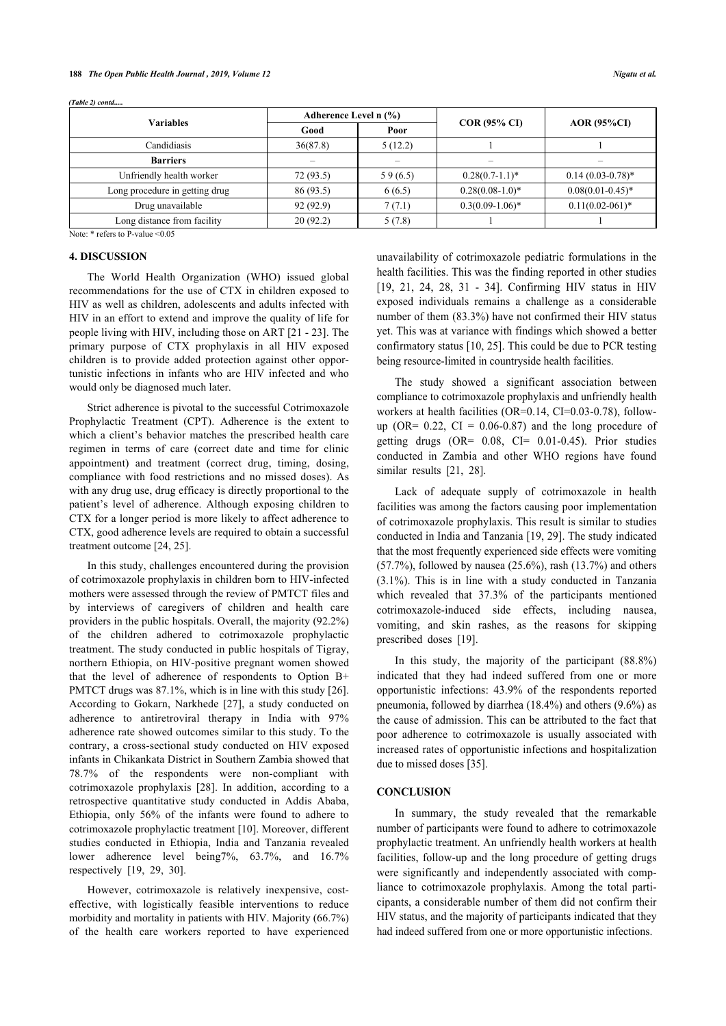*(Table 2) contd.....*

| <b>Variables</b>                   | Adherence Level n (%) |         |                     |                       |  |
|------------------------------------|-----------------------|---------|---------------------|-----------------------|--|
|                                    | Good                  | Poor    | <b>COR (95% CI)</b> | <b>AOR</b> (95%CI)    |  |
| Candidiasis                        | 36(87.8)              | 5(12.2) |                     |                       |  |
| <b>Barriers</b>                    |                       |         |                     |                       |  |
| Unfriendly health worker           | 72(93.5)              | 59(6.5) | $0.28(0.7-1.1)^*$   | $0.14(0.03-0.78)$ *   |  |
| Long procedure in getting drug     | 86(93.5)              | 6(6.5)  | $0.28(0.08-1.0)*$   | $0.08(0.01 - 0.45)^*$ |  |
| Drug unavailable                   | 92 (92.9)             | 7(7.1)  | $0.3(0.09-1.06)$ *  | $0.11(0.02-061)^*$    |  |
| Long distance from facility        | 20(92.2)              | 5(7.8)  |                     |                       |  |
| Note: $*$ refers to P-value < 0.05 |                       |         |                     |                       |  |

#### **4. DISCUSSION**

The World Health Organization (WHO) issued global recommendations for the use of CTX in children exposed to HIV as well as children, adolescents and adults infected with HIV in an effort to extend and improve the quality of life for people living with HIV, including those on ART [[21](#page-5-20) - [23\]](#page-5-21). The primary purpose of CTX prophylaxis in all HIV exposed children is to provide added protection against other opportunistic infections in infants who are HIV infected and who would only be diagnosed much later.

Strict adherence is pivotal to the successful Cotrimoxazole Prophylactic Treatment (CPT). Adherence is the extent to which a client's behavior matches the prescribed health care regimen in terms of care (correct date and time for clinic appointment) and treatment (correct drug, timing, dosing, compliance with food restrictions and no missed doses). As with any drug use, drug efficacy is directly proportional to the patient's level of adherence. Although exposing children to CTX for a longer period is more likely to affect adherence to CTX, good adherence levels are required to obtain a successful treatment outcome [\[24](#page-5-22), [25\]](#page-6-0).

In this study, challenges encountered during the provision of cotrimoxazole prophylaxis in children born to HIV-infected mothers were assessed through the review of PMTCT files and by interviews of caregivers of children and health care providers in the public hospitals. Overall, the majority (92.2%) of the children adhered to cotrimoxazole prophylactic treatment. The study conducted in public hospitals of Tigray, northern Ethiopia, on HIV-positive pregnant women showed that the level of adherence of respondents to Option B+ PMTCT drugs was 87.1%, which is in line with this study [[26](#page-6-1)]. According to Gokarn, Narkhede[[27](#page-6-2)], a study conducted on adherence to antiretroviral therapy in India with 97% adherence rate showed outcomes similar to this study. To the contrary, a cross-sectional study conducted on HIV exposed infants in Chikankata District in Southern Zambia showed that 78.7% of the respondents were non-compliant with cotrimoxazole prophylaxis[[28](#page-6-3)]. In addition, according to a retrospective quantitative study conducted in Addis Ababa, Ethiopia, only 56% of the infants were found to adhere to cotrimoxazole prophylactic treatment [\[10](#page-5-9)]. Moreover, different studies conducted in Ethiopia, India and Tanzania revealed lower adherence level being7%, 63.7%, and 16.7% respectively [\[19](#page-5-18), [29,](#page-6-4) [30](#page-6-5)].

However, cotrimoxazole is relatively inexpensive, costeffective, with logistically feasible interventions to reduce morbidity and mortality in patients with HIV. Majority (66.7%) of the health care workers reported to have experienced

unavailability of cotrimoxazole pediatric formulations in the health facilities. This was the finding reported in other studies [[19](#page-5-18), [21](#page-5-20), [24](#page-5-22), [28](#page-6-3), [31](#page-6-6) - [34\]](#page-6-7). Confirming HIV status in HIV exposed individuals remains a challenge as a considerable number of them (83.3%) have not confirmed their HIV status yet. This was at variance with findings which showed a better confirmatory status [[10,](#page-5-9) [25\]](#page-6-0). This could be due to PCR testing being resource-limited in countryside health facilities.

The study showed a significant association between compliance to cotrimoxazole prophylaxis and unfriendly health workers at health facilities (OR=0.14, CI=0.03-0.78), followup (OR=  $0.22$ , CI =  $0.06-0.87$ ) and the long procedure of getting drugs  $(OR = 0.08, CI = 0.01-0.45)$ . Prior studies conducted in Zambia and other WHO regions have found similarresults [[21,](#page-5-20) [28](#page-6-3)].

Lack of adequate supply of cotrimoxazole in health facilities was among the factors causing poor implementation of cotrimoxazole prophylaxis. This result is similar to studies conducted in India and Tanzania [[19](#page-5-18), [29](#page-6-4)]. The study indicated that the most frequently experienced side effects were vomiting (57.7%), followed by nausea (25.6%), rash (13.7%) and others (3.1%). This is in line with a study conducted in Tanzania which revealed that 37.3% of the participants mentioned cotrimoxazole-induced side effects, including nausea, vomiting, and skin rashes, as the reasons for skipping prescribed doses[[19\]](#page-5-18).

In this study, the majority of the participant (88.8%) indicated that they had indeed suffered from one or more opportunistic infections: 43.9% of the respondents reported pneumonia, followed by diarrhea (18.4%) and others (9.6%) as the cause of admission. This can be attributed to the fact that poor adherence to cotrimoxazole is usually associated with increased rates of opportunistic infections and hospitalization due to missed doses [[35\]](#page-6-8).

# **CONCLUSION**

In summary, the study revealed that the remarkable number of participants were found to adhere to cotrimoxazole prophylactic treatment. An unfriendly health workers at health facilities, follow-up and the long procedure of getting drugs were significantly and independently associated with compliance to cotrimoxazole prophylaxis. Among the total participants, a considerable number of them did not confirm their HIV status, and the majority of participants indicated that they had indeed suffered from one or more opportunistic infections.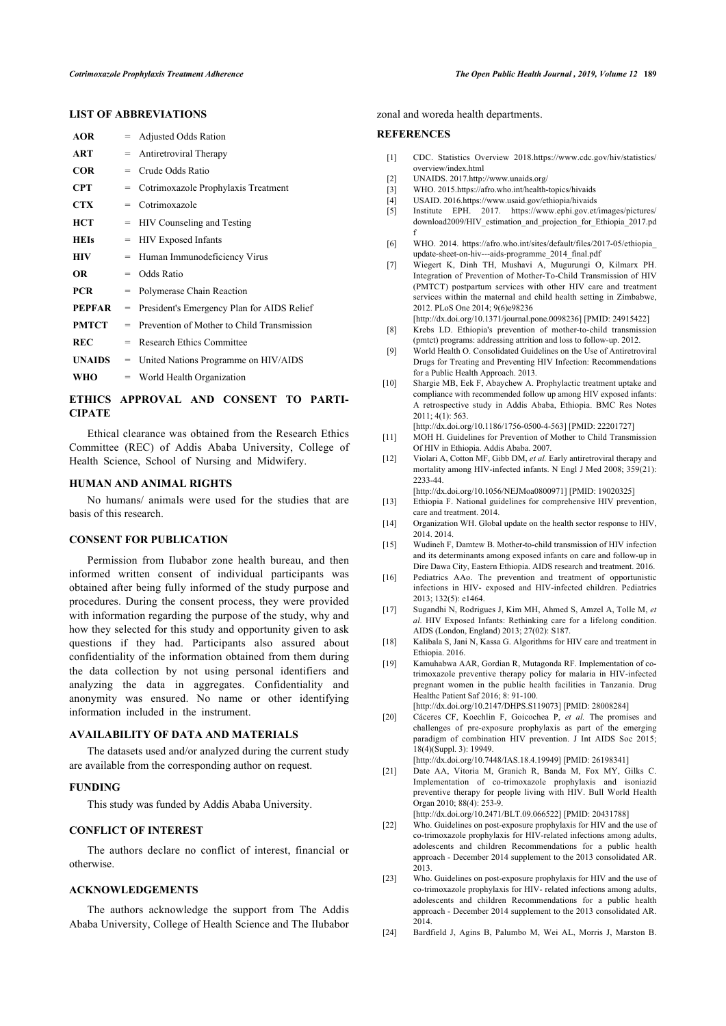# **LIST OF ABBREVIATIONS**

<span id="page-5-6"></span><span id="page-5-5"></span><span id="page-5-4"></span><span id="page-5-3"></span><span id="page-5-2"></span><span id="page-5-1"></span><span id="page-5-0"></span>

| <b>AOR</b>    | $=$ | <b>Adjusted Odds Ration</b>                |
|---------------|-----|--------------------------------------------|
| ART           | $=$ | Antiretroviral Therapy                     |
| <b>COR</b>    | $=$ | Crude Odds Ratio                           |
| <b>CPT</b>    | $=$ | Cotrimoxazole Prophylaxis Treatment        |
| CTX           | $=$ | Cotrimoxazole                              |
| HCT           | $=$ | HIV Counseling and Testing                 |
| <b>HEIs</b>   | =   | <b>HIV Exposed Infants</b>                 |
| HIV           | $=$ | Human Immunodeficiency Virus               |
| OR            | $=$ | Odds Ratio                                 |
| <b>PCR</b>    | $=$ | Polymerase Chain Reaction                  |
| <b>PEPFAR</b> | $=$ | President's Emergency Plan for AIDS Relief |
| <b>PMTCT</b>  | $=$ | Prevention of Mother to Child Transmission |
| <b>REC</b>    | $=$ | Research Ethics Committee                  |
| <b>UNAIDS</b> | $=$ | United Nations Programme on HIV/AIDS       |
| WHO           |     | $=$ World Health Organization              |

# <span id="page-5-9"></span><span id="page-5-8"></span><span id="page-5-7"></span>**ETHICS APPROVAL AND CONSENT TO PARTI-CIPATE**

<span id="page-5-10"></span>Ethical clearance was obtained from the Research Ethics Committee (REC) of Addis Ababa University, College of Health Science, School of Nursing and Midwifery.

# <span id="page-5-11"></span>**HUMAN AND ANIMAL RIGHTS**

<span id="page-5-12"></span>No humans/ animals were used for the studies that are basis of this research.

### <span id="page-5-14"></span><span id="page-5-13"></span>**CONSENT FOR PUBLICATION**

<span id="page-5-17"></span><span id="page-5-16"></span><span id="page-5-15"></span>Permission from Ilubabor zone health bureau, and then informed written consent of individual participants was obtained after being fully informed of the study purpose and procedures. During the consent process, they were provided with information regarding the purpose of the study, why and how they selected for this study and opportunity given to ask questions if they had. Participants also assured about confidentiality of the information obtained from them during the data collection by not using personal identifiers and analyzing the data in aggregates. Confidentiality and anonymity was ensured. No name or other identifying information included in the instrument.

#### <span id="page-5-19"></span><span id="page-5-18"></span>**AVAILABILITY OF DATA AND MATERIALS**

The datasets used and/or analyzed during the current study are available from the corresponding author on request.

#### <span id="page-5-20"></span>**FUNDING**

This study was funded by Addis Ababa University.

#### **CONFLICT OF INTEREST**

The authors declare no conflict of interest, financial or otherwise.

# <span id="page-5-21"></span>**ACKNOWLEDGEMENTS**

<span id="page-5-22"></span>The authors acknowledge the support from The Addis Ababa University, College of Health Science and The Ilubabor

zonal and woreda health departments.

#### **REFERENCES**

- [1] CDC. Statistics Overview 2018.[https://www.cdc.gov/hiv/statistics/](https://www.cdc.gov/hiv/statistics/overview/index.html) [overview/index.html](https://www.cdc.gov/hiv/statistics/overview/index.html)
- [2] UNAIDS. 2017.<http://www.unaids.org/>
- [3] WHO. 2015.<https://afro.who.int/health-topics/hivaids>
- [4] USAID. 2016.<https://www.usaid.gov/ethiopia/hivaids>
- [5] Institute EPH. 2017. [https://www.ephi.gov.et/images/pictures/](https://www.ephi.gov.et/images/pictures/download2009/HIV_estimation_and_projection_for_Ethiopia_2017.pdf) [download2009/HIV\\_estimation\\_and\\_projection\\_for\\_Ethiopia\\_2017.pd](https://www.ephi.gov.et/images/pictures/download2009/HIV_estimation_and_projection_for_Ethiopia_2017.pdf) [f](https://www.ephi.gov.et/images/pictures/download2009/HIV_estimation_and_projection_for_Ethiopia_2017.pdf)
- [6] WHO. 2014[. https://afro.who.int/sites/default/files/2017-05/ethiopia\\_](https://afro.who.int/sites/default/files/2017-05/ethiopia_update-sheet-on-hiv---aids-programme_2014_final.pdf) [update-sheet-on-hiv---aids-programme\\_2014\\_final.pdf](https://afro.who.int/sites/default/files/2017-05/ethiopia_update-sheet-on-hiv---aids-programme_2014_final.pdf)
- [7] Wiegert K, Dinh TH, Mushavi A, Mugurungi O, Kilmarx PH. Integration of Prevention of Mother-To-Child Transmission of HIV (PMTCT) postpartum services with other HIV care and treatment services within the maternal and child health setting in Zimbabwe, 2012. PLoS One 2014; 9(6)e98236
- [\[http://dx.doi.org/10.1371/journal.pone.0098236\]](http://dx.doi.org/10.1371/journal.pone.0098236) [PMID: [24915422\]](http://www.ncbi.nlm.nih.gov/pubmed/24915422) [8] Krebs LD. Ethiopia's prevention of mother-to-child transmission
- (pmtct) programs: addressing attrition and loss to follow-up. 2012. [9] World Health O. Consolidated Guidelines on the Use of Antiretroviral
- Drugs for Treating and Preventing HIV Infection: Recommendations for a Public Health Approach. 2013.
- [10] Shargie MB, Eek F, Abaychew A. Prophylactic treatment uptake and compliance with recommended follow up among HIV exposed infants: A retrospective study in Addis Ababa, Ethiopia. BMC Res Notes 2011; 4(1): 563.
- [\[http://dx.doi.org/10.1186/1756-0500-4-563](http://dx.doi.org/10.1186/1756-0500-4-563)] [PMID: [22201727](http://www.ncbi.nlm.nih.gov/pubmed/22201727)] [11] MOH H. Guidelines for Prevention of Mother to Child Transmission
- Of HIV in Ethiopia. Addis Ababa. 2007. [12] Violari A, Cotton MF, Gibb DM, *et al.* Early antiretroviral therapy and mortality among HIV-infected infants. N Engl J Med 2008; 359(21): 2233-44.
- [\[http://dx.doi.org/10.1056/NEJMoa0800971\]](http://dx.doi.org/10.1056/NEJMoa0800971) [PMID: [19020325](http://www.ncbi.nlm.nih.gov/pubmed/19020325)]
- [13] Ethiopia F. National guidelines for comprehensive HIV prevention, care and treatment. 2014.
- [14] Organization WH. Global update on the health sector response to HIV, 2014. 2014.
- [15] Wudineh F, Damtew B. Mother-to-child transmission of HIV infection and its determinants among exposed infants on care and follow-up in Dire Dawa City, Eastern Ethiopia. AIDS research and treatment. 2016.
- [16] Pediatrics AAo. The prevention and treatment of opportunistic infections in HIV- exposed and HIV-infected children. Pediatrics 2013; 132(5): e1464.
- [17] Sugandhi N, Rodrigues J, Kim MH, Ahmed S, Amzel A, Tolle M, *et al.* HIV Exposed Infants: Rethinking care for a lifelong condition. AIDS (London, England) 2013; 27(02): S187.
- [18] Kalibala S, Jani N, Kassa G. Algorithms for HIV care and treatment in Ethiopia. 2016.
- [19] Kamuhabwa AAR, Gordian R, Mutagonda RF. Implementation of cotrimoxazole preventive therapy policy for malaria in HIV-infected pregnant women in the public health facilities in Tanzania. Drug Healthc Patient Saf 2016; 8: 91-100. [\[http://dx.doi.org/10.2147/DHPS.S119073\]](http://dx.doi.org/10.2147/DHPS.S119073) [PMID: [28008284\]](http://www.ncbi.nlm.nih.gov/pubmed/28008284)
- [20] Cáceres CF, Koechlin F, Goicochea P, *et al.* The promises and challenges of pre-exposure prophylaxis as part of the emerging paradigm of combination HIV prevention. J Int AIDS Soc 2015;

18(4)(Suppl. 3): 19949. [\[http://dx.doi.org/10.7448/IAS.18.4.19949\]](http://dx.doi.org/10.7448/IAS.18.4.19949) [PMID: [26198341\]](http://www.ncbi.nlm.nih.gov/pubmed/26198341)

- [21] Date AA, Vitoria M, Granich R, Banda M, Fox MY, Gilks C. Implementation of co-trimoxazole prophylaxis and isoniazid preventive therapy for people living with HIV. Bull World Health Organ 2010; 88(4): 253-9. [\[http://dx.doi.org/10.2471/BLT.09.066522](http://dx.doi.org/10.2471/BLT.09.066522)] [PMID: [20431788\]](http://www.ncbi.nlm.nih.gov/pubmed/20431788)
- [22] Who. Guidelines on post-exposure prophylaxis for HIV and the use of co-trimoxazole prophylaxis for HIV-related infections among adults, adolescents and children Recommendations for a public health approach - December 2014 supplement to the 2013 consolidated AR. 2013.
- [23] Who. Guidelines on post-exposure prophylaxis for HIV and the use of co-trimoxazole prophylaxis for HIV- related infections among adults, adolescents and children Recommendations for a public health approach - December 2014 supplement to the 2013 consolidated AR. 2014.
- [24] Bardfield J, Agins B, Palumbo M, Wei AL, Morris J, Marston B.